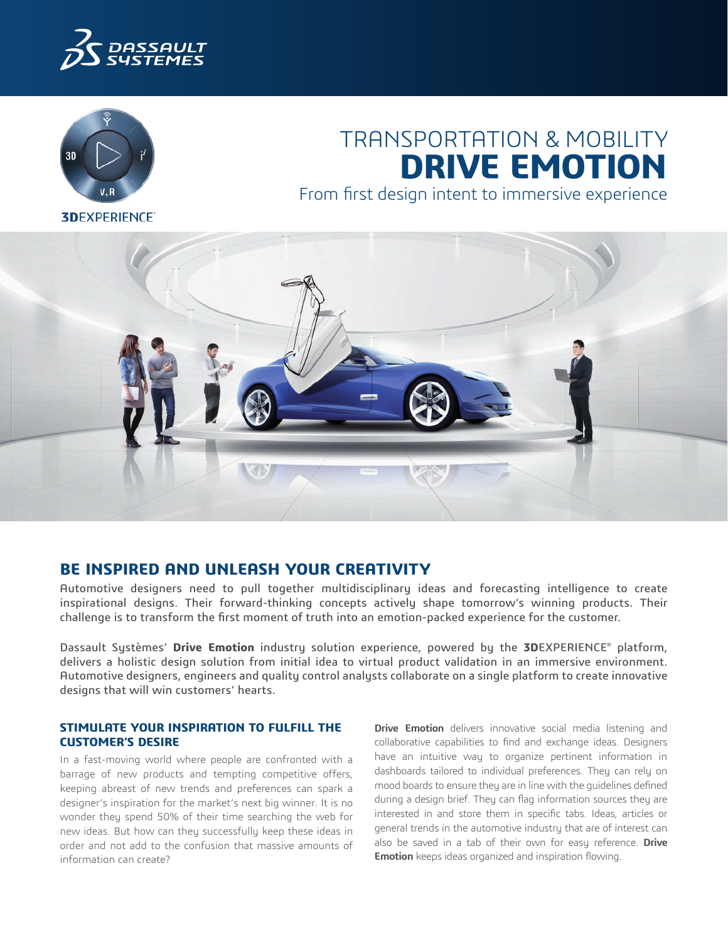



# TRANSPORTATION & MOBILITY **DRIVE EMOTION** From first design intent to immersive experience

**3DEXPERIENCE**®



## **BE INSPIRED AND UNLEASH YOUR CREATIVITY**

Automotive designers need to pull together multidisciplinary ideas and forecasting intelligence to create inspirational designs. Their forward-thinking concepts actively shape tomorrow's winning products. Their challenge is to transform the first moment of truth into an emotion-packed experience for the customer.

Dassault Systèmes' **Drive Emotion** industry solution experience, powered by the **3D**EXPERIENCE® platform, delivers a holistic design solution from initial idea to virtual product validation in an immersive environment. Automotive designers, engineers and quality control analysts collaborate on a single platform to create innovative designs that will win customers' hearts.

#### **STIMULATE YOUR INSPIRATION TO FULFILL THE CUSTOMER'S DESIRE**

In a fast-moving world where people are confronted with a barrage of new products and tempting competitive offers, keeping abreast of new trends and preferences can spark a designer's inspiration for the market's next big winner. It is no wonder they spend 50% of their time searching the web for new ideas. But how can they successfully keep these ideas in order and not add to the confusion that massive amounts of information can create?

**Drive Emotion** delivers innovative social media listening and collaborative capabilities to find and exchange ideas. Designers have an intuitive way to organize pertinent information in dashboards tailored to individual preferences. They can rely on mood boards to ensure they are in line with the guidelines defined during a design brief. They can flag information sources they are interested in and store them in specific tabs. Ideas, articles or general trends in the automotive industry that are of interest can also be saved in a tab of their own for easy reference. **Drive Emotion** keeps ideas organized and inspiration flowing.